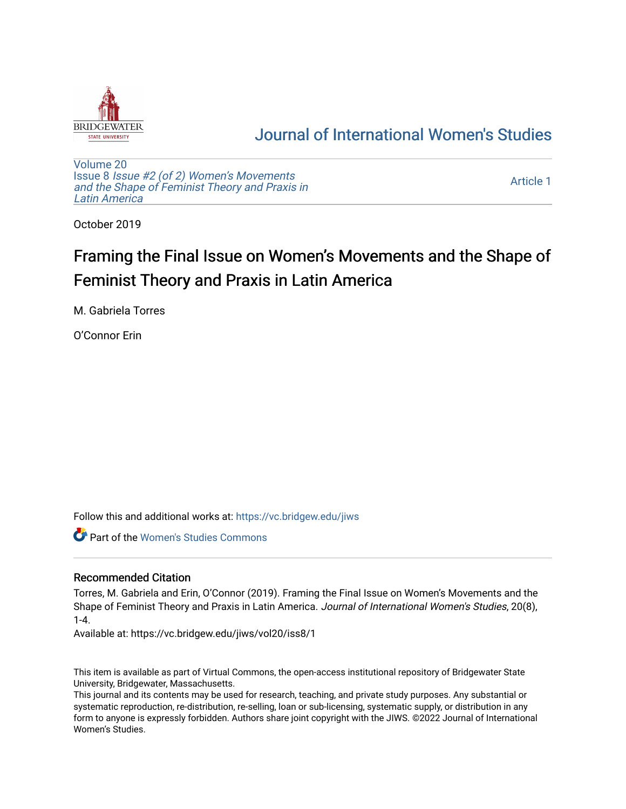

# [Journal of International Women's Studies](https://vc.bridgew.edu/jiws)

[Volume 20](https://vc.bridgew.edu/jiws/vol20) Issue 8 [Issue #2 \(of 2\) Women's Movements](https://vc.bridgew.edu/jiws/vol20/iss8) [and the Shape of Feminist Theory and Praxis in](https://vc.bridgew.edu/jiws/vol20/iss8) [Latin America](https://vc.bridgew.edu/jiws/vol20/iss8) 

[Article 1](https://vc.bridgew.edu/jiws/vol20/iss8/1) 

October 2019

# Framing the Final Issue on Women's Movements and the Shape of Feminist Theory and Praxis in Latin America

M. Gabriela Torres

O'Connor Erin

Follow this and additional works at: [https://vc.bridgew.edu/jiws](https://vc.bridgew.edu/jiws?utm_source=vc.bridgew.edu%2Fjiws%2Fvol20%2Fiss8%2F1&utm_medium=PDF&utm_campaign=PDFCoverPages)

**C** Part of the Women's Studies Commons

### Recommended Citation

Torres, M. Gabriela and Erin, O'Connor (2019). Framing the Final Issue on Women's Movements and the Shape of Feminist Theory and Praxis in Latin America. Journal of International Women's Studies, 20(8), 1-4.

Available at: https://vc.bridgew.edu/jiws/vol20/iss8/1

This item is available as part of Virtual Commons, the open-access institutional repository of Bridgewater State University, Bridgewater, Massachusetts.

This journal and its contents may be used for research, teaching, and private study purposes. Any substantial or systematic reproduction, re-distribution, re-selling, loan or sub-licensing, systematic supply, or distribution in any form to anyone is expressly forbidden. Authors share joint copyright with the JIWS. ©2022 Journal of International Women's Studies.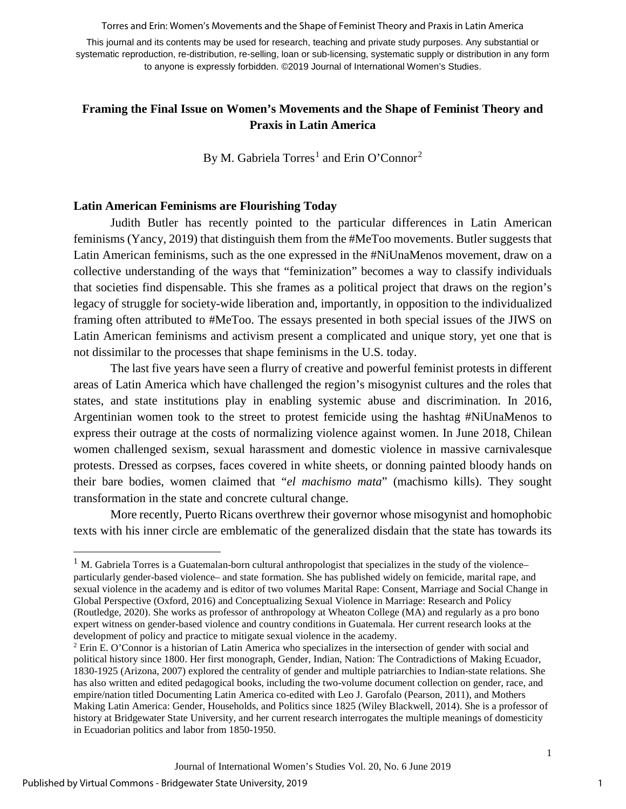Torres and Erin: Women's Movements and the Shape of Feminist Theory and Praxis in Latin America

This journal and its contents may be used for research, teaching and private study purposes. Any substantial or systematic reproduction, re-distribution, re-selling, loan or sub-licensing, systematic supply or distribution in any form to anyone is expressly forbidden. ©2019 Journal of International Women's Studies.

## **Framing the Final Issue on Women's Movements and the Shape of Feminist Theory and Praxis in Latin America**

By M. Gabriela Torres<sup>[1](#page-1-0)</sup> and Erin O'Connor<sup>[2](#page-1-1)</sup>

#### **Latin American Feminisms are Flourishing Today**

Judith Butler has recently pointed to the particular differences in Latin American feminisms (Yancy, 2019) that distinguish them from the #MeToo movements. Butler suggests that Latin American feminisms, such as the one expressed in the #NiUnaMenos movement, draw on a collective understanding of the ways that "feminization" becomes a way to classify individuals that societies find dispensable. This she frames as a political project that draws on the region's legacy of struggle for society-wide liberation and, importantly, in opposition to the individualized framing often attributed to #MeToo. The essays presented in both special issues of the JIWS on Latin American feminisms and activism present a complicated and unique story, yet one that is not dissimilar to the processes that shape feminisms in the U.S. today.

The last five years have seen a flurry of creative and powerful feminist protests in different areas of Latin America which have challenged the region's misogynist cultures and the roles that states, and state institutions play in enabling systemic abuse and discrimination. In 2016, Argentinian women took to the street to protest femicide using the hashtag #NiUnaMenos to express their outrage at the costs of normalizing violence against women. In June 2018, Chilean women challenged sexism, sexual harassment and domestic violence in massive carnivalesque protests. Dressed as corpses, faces covered in white sheets, or donning painted bloody hands on their bare bodies, women claimed that "*el machismo mata*" (machismo kills). They sought transformation in the state and concrete cultural change.

More recently, Puerto Ricans overthrew their governor whose misogynist and homophobic texts with his inner circle are emblematic of the generalized disdain that the state has towards its

 $\overline{a}$ 

<span id="page-1-0"></span> $1$  M. Gabriela Torres is a Guatemalan-born cultural anthropologist that specializes in the study of the violence– particularly gender-based violence– and state formation. She has published widely on femicide, marital rape, and sexual violence in the academy and is editor of two volumes Marital Rape: Consent, Marriage and Social Change in Global Perspective (Oxford, 2016) and Conceptualizing Sexual Violence in Marriage: Research and Policy (Routledge, 2020). She works as professor of anthropology at Wheaton College (MA) and regularly as a pro bono expert witness on gender-based violence and country conditions in Guatemala. Her current research looks at the development of policy and practice to mitigate sexual violence in the academy.

<span id="page-1-1"></span><sup>2</sup> Erin E. O'Connor is a historian of Latin America who specializes in the intersection of gender with social and political history since 1800. Her first monograph, Gender, Indian, Nation: The Contradictions of Making Ecuador, 1830-1925 (Arizona, 2007) explored the centrality of gender and multiple patriarchies to Indian-state relations. She has also written and edited pedagogical books, including the two-volume document collection on gender, race, and empire/nation titled Documenting Latin America co-edited with Leo J. Garofalo (Pearson, 2011), and Mothers Making Latin America: Gender, Households, and Politics since 1825 (Wiley Blackwell, 2014). She is a professor of history at Bridgewater State University, and her current research interrogates the multiple meanings of domesticity in Ecuadorian politics and labor from 1850-1950.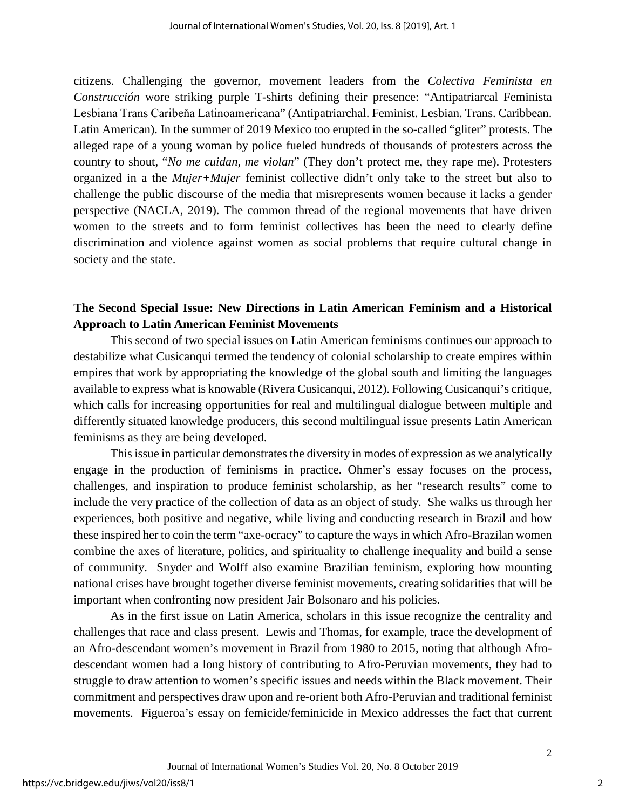citizens. Challenging the governor, movement leaders from the *Colectiva Feminista en Construcción* wore striking purple T-shirts defining their presence: "Antipatriarcal Feminista Lesbiana Trans Caribeňa Latinoamericana" (Antipatriarchal. Feminist. Lesbian. Trans. Caribbean. Latin American). In the summer of 2019 Mexico too erupted in the so-called "gliter" protests. The alleged rape of a young woman by police fueled hundreds of thousands of protesters across the country to shout, "*No me cuidan, me violan*" (They don't protect me, they rape me). Protesters organized in a the *Mujer+Mujer* feminist collective didn't only take to the street but also to challenge the public discourse of the media that misrepresents women because it lacks a gender perspective (NACLA, 2019). The common thread of the regional movements that have driven women to the streets and to form feminist collectives has been the need to clearly define discrimination and violence against women as social problems that require cultural change in society and the state.

# **The Second Special Issue: New Directions in Latin American Feminism and a Historical Approach to Latin American Feminist Movements**

This second of two special issues on Latin American feminisms continues our approach to destabilize what Cusicanqui termed the tendency of colonial scholarship to create empires within empires that work by appropriating the knowledge of the global south and limiting the languages available to express what is knowable (Rivera Cusicanqui, 2012). Following Cusicanqui's critique, which calls for increasing opportunities for real and multilingual dialogue between multiple and differently situated knowledge producers, this second multilingual issue presents Latin American feminisms as they are being developed.

This issue in particular demonstrates the diversity in modes of expression as we analytically engage in the production of feminisms in practice. Ohmer's essay focuses on the process, challenges, and inspiration to produce feminist scholarship, as her "research results" come to include the very practice of the collection of data as an object of study. She walks us through her experiences, both positive and negative, while living and conducting research in Brazil and how these inspired her to coin the term "axe-ocracy" to capture the ways in which Afro-Brazilan women combine the axes of literature, politics, and spirituality to challenge inequality and build a sense of community. Snyder and Wolff also examine Brazilian feminism, exploring how mounting national crises have brought together diverse feminist movements, creating solidarities that will be important when confronting now president Jair Bolsonaro and his policies.

As in the first issue on Latin America, scholars in this issue recognize the centrality and challenges that race and class present. Lewis and Thomas, for example, trace the development of an Afro-descendant women's movement in Brazil from 1980 to 2015, noting that although Afrodescendant women had a long history of contributing to Afro-Peruvian movements, they had to struggle to draw attention to women's specific issues and needs within the Black movement. Their commitment and perspectives draw upon and re-orient both Afro-Peruvian and traditional feminist movements. Figueroa's essay on femicide/feminicide in Mexico addresses the fact that current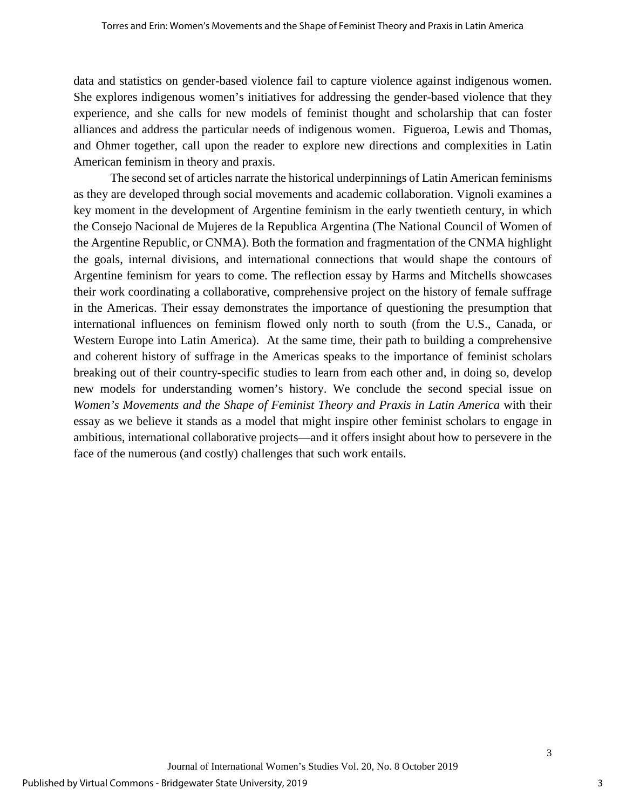data and statistics on gender-based violence fail to capture violence against indigenous women. She explores indigenous women's initiatives for addressing the gender-based violence that they experience, and she calls for new models of feminist thought and scholarship that can foster alliances and address the particular needs of indigenous women. Figueroa, Lewis and Thomas, and Ohmer together, call upon the reader to explore new directions and complexities in Latin American feminism in theory and praxis.

The second set of articles narrate the historical underpinnings of Latin American feminisms as they are developed through social movements and academic collaboration. Vignoli examines a key moment in the development of Argentine feminism in the early twentieth century, in which the Consejo Nacional de Mujeres de la Republica Argentina (The National Council of Women of the Argentine Republic, or CNMA). Both the formation and fragmentation of the CNMA highlight the goals, internal divisions, and international connections that would shape the contours of Argentine feminism for years to come. The reflection essay by Harms and Mitchells showcases their work coordinating a collaborative, comprehensive project on the history of female suffrage in the Americas. Their essay demonstrates the importance of questioning the presumption that international influences on feminism flowed only north to south (from the U.S., Canada, or Western Europe into Latin America). At the same time, their path to building a comprehensive and coherent history of suffrage in the Americas speaks to the importance of feminist scholars breaking out of their country-specific studies to learn from each other and, in doing so, develop new models for understanding women's history. We conclude the second special issue on *Women's Movements and the Shape of Feminist Theory and Praxis in Latin America* with their essay as we believe it stands as a model that might inspire other feminist scholars to engage in ambitious, international collaborative projects—and it offers insight about how to persevere in the face of the numerous (and costly) challenges that such work entails.